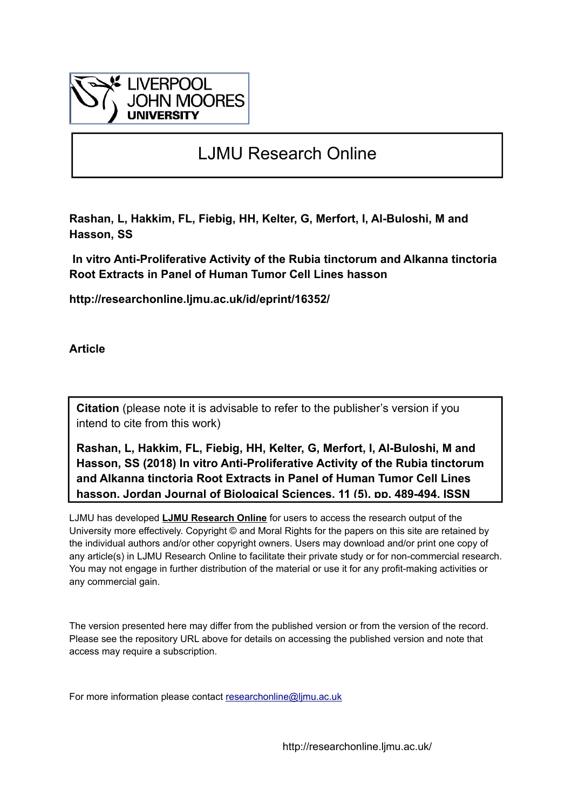

# LJMU Research Online

**Rashan, L, Hakkim, FL, Fiebig, HH, Kelter, G, Merfort, I, Al-Buloshi, M and Hasson, SS**

 **In vitro Anti-Proliferative Activity of the Rubia tinctorum and Alkanna tinctoria Root Extracts in Panel of Human Tumor Cell Lines hasson**

**http://researchonline.ljmu.ac.uk/id/eprint/16352/**

**Article**

**Citation** (please note it is advisable to refer to the publisher's version if you intend to cite from this work)

**Rashan, L, Hakkim, FL, Fiebig, HH, Kelter, G, Merfort, I, Al-Buloshi, M and Hasson, SS (2018) In vitro Anti-Proliferative Activity of the Rubia tinctorum and Alkanna tinctoria Root Extracts in Panel of Human Tumor Cell Lines hasson. Jordan Journal of Biological Sciences, 11 (5). pp. 489-494. ISSN** 

LJMU has developed **[LJMU Research Online](http://researchonline.ljmu.ac.uk/)** for users to access the research output of the University more effectively. Copyright © and Moral Rights for the papers on this site are retained by the individual authors and/or other copyright owners. Users may download and/or print one copy of any article(s) in LJMU Research Online to facilitate their private study or for non-commercial research. You may not engage in further distribution of the material or use it for any profit-making activities or any commercial gain.

The version presented here may differ from the published version or from the version of the record. Please see the repository URL above for details on accessing the published version and note that access may require a subscription.

For more information please contact researchonline@limu.ac.uk

http://researchonline.ljmu.ac.uk/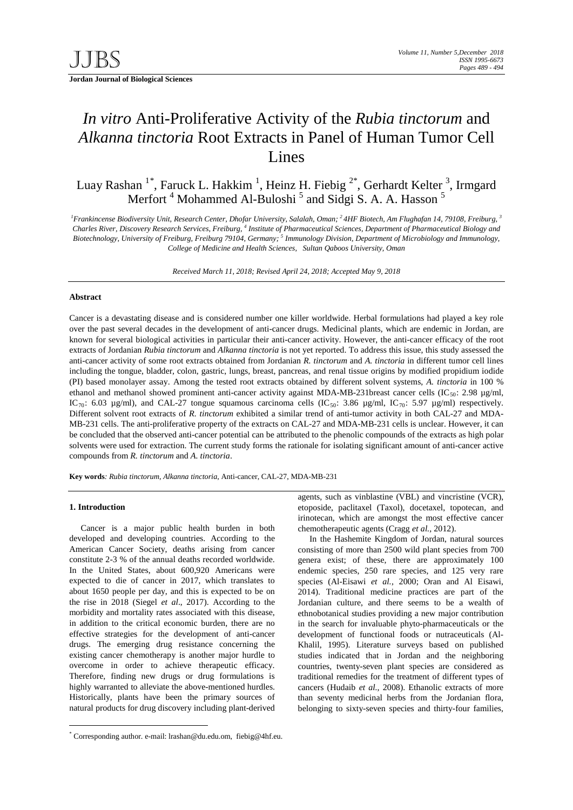## *In vitro* Anti-Proliferative Activity of the *Rubia tinctorum* and *Alkanna tinctoria* Root Extracts in Panel of Human Tumor Cell Lines

Luay Rashan <sup>1[\\*](#page-1-0)</sup>, Faruck L. Hakkim <sup>1</sup>, Heinz H. Fiebig <sup>2\*</sup>, Gerhardt Kelter <sup>3</sup>, Irmgard Merfort<sup>4</sup> Mohammed Al-Buloshi<sup>5</sup> and Sidgi S. A. A. Hasson<sup>5</sup>

<sup>1</sup> Frankincense Biodiversity Unit, Research Center, Dhofar University, Salalah, Oman; <sup>2</sup> 4HF Biotech, Am Flughafan 14, 79108, Freiburg, <sup>3</sup> *Charles River, Discovery Research Services, Freiburg, 4 Institute of Pharmaceutical Sciences, Department of Pharmaceutical Biology and Biotechnology, University of Freiburg, Freiburg 79104, Germany; 5 Immunology Division, Department of Microbiology and Immunology, College of Medicine and Health Sciences, Sultan Qaboos University, Oman*

*Received March 11, 2018; Revised April 24, 2018; Accepted May 9, 2018*

#### **Abstract**

Cancer is a devastating disease and is considered number one killer worldwide. Herbal formulations had played a key role over the past several decades in the development of anti-cancer drugs. Medicinal plants, which are endemic in Jordan, are known for several biological activities in particular their anti-cancer activity. However, the anti-cancer efficacy of the root extracts of Jordanian *Rubia tinctorum* and *Alkanna tinctoria* is not yet reported. To address this issue, this study assessed the anti-cancer activity of some root extracts obtained from Jordanian *R. tinctorum* and *A. tinctoria* in different tumor cell lines including the tongue, bladder, colon, gastric, lungs, breast, pancreas, and renal tissue origins by modified propidium iodide (PI) based monolayer assay. Among the tested root extracts obtained by different solvent systems, *A. tinctoria* in 100 % ethanol and methanol showed prominent anti-cancer activity against MDA-MB-231breast cancer cells (IC $_{50}$ : 2.98  $\mu$ g/ml, IC<sub>70</sub>: 6.03 µg/ml), and CAL-27 tongue squamous carcinoma cells (IC<sub>50</sub>: 3.86 µg/ml, IC<sub>70</sub>: 5.97 µg/ml) respectively. Different solvent root extracts of *R. tinctorum* exhibited a similar trend of anti-tumor activity in both CAL-27 and MDA-MB-231 cells. The anti-proliferative property of the extracts on CAL-27 and MDA-MB-231 cells is unclear. However, it can be concluded that the observed anti-cancer potential can be attributed to the phenolic compounds of the extracts as high polar solvents were used for extraction. The current study forms the rationale for isolating significant amount of anti-cancer active compounds from *R. tinctorum* and *A. tinctoria*.

**Key words***: Rubia tinctorum*, *Alkanna tinctoria*, Anti-cancer, CAL-27, MDA-MB-231

#### **1. Introduction**

Cancer is a major public health burden in both developed and developing countries. According to the American Cancer Society, deaths arising from cancer constitute 2-3 % of the annual deaths recorded worldwide. In the United States, about 600,920 Americans were expected to die of cancer in 2017, which translates to about 1650 people per day, and this is expected to be on the rise in 2018 (Siegel *et al*., 2017). According to the morbidity and mortality rates associated with this disease, in addition to the critical economic burden, there are no effective strategies for the development of anti-cancer drugs. The emerging drug resistance concerning the existing cancer chemotherapy is another major hurdle to overcome in order to achieve therapeutic efficacy. Therefore, finding new drugs or drug formulations is highly warranted to alleviate the above-mentioned hurdles. Historically, plants have been the primary sources of natural products for drug discovery including plant-derived agents, such as vinblastine (VBL) and vincristine (VCR), etoposide, paclitaxel (Taxol), docetaxel, topotecan, and irinotecan, which are amongst the most effective cancer chemotherapeutic agents (Cragg *et al.,* 2012).

In the Hashemite Kingdom of Jordan, natural sources consisting of more than 2500 wild plant species from 700 genera exist; of these, there are approximately 100 endemic species, 250 rare species, and 125 very rare species (Al-Eisawi *et al.,* 2000; Oran and Al Eisawi, 2014). Traditional medicine practices are part of the Jordanian culture, and there seems to be a wealth of ethnobotanical studies providing a new major contribution in the search for invaluable phyto-pharmaceuticals or the development of functional foods or nutraceuticals (Al-Khalil, 1995). Literature surveys based on published studies indicated that in Jordan and the neighboring countries, twenty-seven plant species are considered as traditional remedies for the treatment of different types of cancers (Hudaib *et al.,* 2008). Ethanolic extracts of more than seventy medicinal herbs from the Jordanian flora, belonging to sixty-seven species and thirty-four families,

<span id="page-1-0"></span> <sup>\*</sup> Corresponding author. e-mail: lrashan@du.edu.om, fiebig@4hf.eu.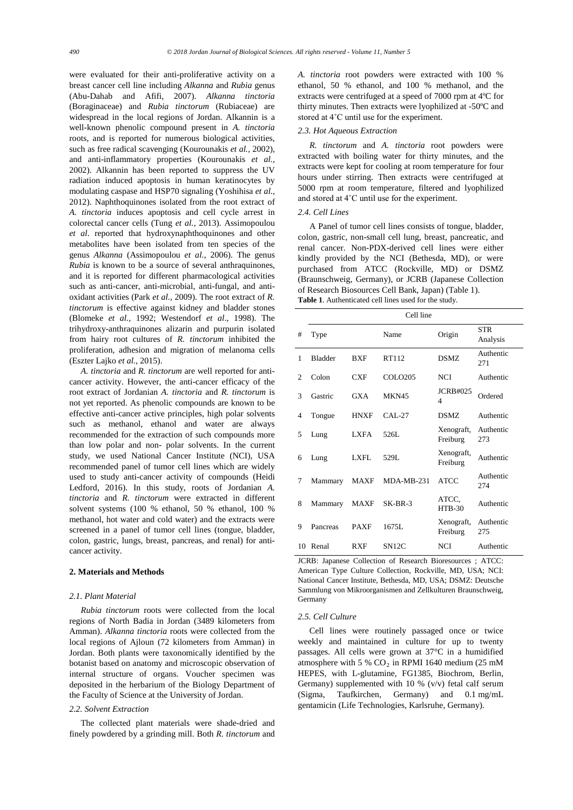were evaluated for their anti-proliferative activity on a breast cancer cell line including *Alkanna* and *Rubia* genus (Abu-Dahab and Afifi, 2007). *Alkanna tinctoria* (Boraginaceae) and *Rubia tinctorum* (Rubiaceae) are widespread in the local regions of Jordan. Alkannin is a well-known phenolic compound present in *A. tinctoria* roots, and is reported for numerous biological activities, such as free radical scavenging (Kourounakis *et al.,* 2002), and anti-inflammatory properties (Kourounakis *et al.,* 2002). Alkannin has been reported to suppress the UV radiation induced apoptosis in human keratinocytes by modulating caspase and HSP70 signaling (Yoshihisa *et al.,* 2012). Naphthoquinones isolated from the root extract of *A. tinctoria* induces apoptosis and cell cycle arrest in colorectal cancer cells (Tung *et al.,* 2013). Assimopoulou *et al*. reported that hydroxynaphthoquinones and other metabolites have been isolated from ten species of the genus *Alkanna* (Assimopoulou *et al.,* 2006). The genus *Rubia* is known to be a source of several anthraquinones, and it is reported for different pharmacological activities such as anti-cancer, anti-microbial, anti-fungal, and antioxidant activities (Park *et al.,* 2009). The root extract of *R. tinctorum* is effective against kidney and bladder stones (Blomeke *et al.,* 1992; Westendorf *et al*., 1998). The trihydroxy-anthraquinones alizarin and purpurin isolated from hairy root cultures of *R. tinctorum* inhibited the proliferation, adhesion and migration of melanoma cells [\(Eszter Lajko](https://www.ncbi.nlm.nih.gov/pubmed/?term=Lajk%26%23x000f3%3B%20E%5BAuthor%5D&cauthor=true&cauthor_uid=26690297) *et al.,* 2015).

*A. tinctoria* and *R. tinctorum* are well reported for anticancer activity. However, the anti-cancer efficacy of the root extract of Jordanian *A. tinctoria* and *R. tinctorum* is not yet reported. As phenolic compounds are known to be effective anti-cancer active principles, high polar solvents such as methanol, ethanol and water are always recommended for the extraction of such compounds more than low polar and non- polar solvents. In the current study, we used National Cancer Institute (NCI), USA recommended panel of tumor cell lines which are widely used to study anti-cancer activity of compounds (Heidi Ledford, 2016). In this study, roots of Jordanian *A. tinctoria* and *R. tinctorum* were extracted in different solvent systems (100 % ethanol, 50 % ethanol, 100 % methanol, hot water and cold water) and the extracts were screened in a panel of tumor cell lines (tongue, bladder, colon, gastric, lungs, breast, pancreas, and renal) for anticancer activity.

## **2. Materials and Methods**

#### *2.1. Plant Material*

*Rubia tinctorum* roots were collected from the local regions of North Badia in Jordan (3489 kilometers from Amman). *Alkanna tinctoria* roots were collected from the local regions of Ajloun (72 kilometers from Amman) in Jordan. Both plants were taxonomically identified by the botanist based on anatomy and microscopic observation of internal structure of organs. Voucher specimen was deposited in the herbarium of the Biology Department of the Faculty of Science at the University of Jordan.

## *2.2. Solvent Extraction*

The collected plant materials were shade-dried and finely powdered by a grinding mill. Both *R. tinctorum* and *A. tinctoria* root powders were extracted with 100 % ethanol, 50 % ethanol, and 100 % methanol, and the extracts were centrifuged at a speed of 7000 rpm at 4ºC for thirty minutes. Then extracts were lyophilized at -50ºC and stored at 4˚C until use for the experiment.

## *2.3. Hot Aqueous Extraction*

*R. tinctorum* and *A. tinctoria* root powders were extracted with boiling water for thirty minutes, and the extracts were kept for cooling at room temperature for four hours under stirring. Then extracts were centrifuged at 5000 rpm at room temperature, filtered and lyophilized and stored at 4˚C until use for the experiment.

## *2.4. Cell Lines*

A Panel of tumor cell lines consists of tongue, bladder, colon, gastric, non-small cell lung, breast, pancreatic, and renal cancer. Non-PDX-derived cell lines were either kindly provided by the NCI (Bethesda, MD), or were purchased from ATCC (Rockville, MD) or DSMZ (Braunschweig, Germany), or JCRB (Japanese Collection of Research Biosources Cell Bank, Japan) (Table 1). **Table 1**. Authenticated cell lines used for the study.

|                | Cell line      |             |              |                                      |                        |
|----------------|----------------|-------------|--------------|--------------------------------------|------------------------|
| #              | Type           |             | Name         | Origin                               | <b>STR</b><br>Analysis |
| 1              | <b>Bladder</b> | <b>BXF</b>  | RT112        | DSMZ                                 | Authentic<br>271       |
| $\overline{c}$ | Colon          | <b>CXF</b>  | COLO205      | <b>NCI</b>                           | Authentic              |
| 3              | Gastric        | <b>GXA</b>  | <b>MKN45</b> | JCRB#025<br>$\overline{\mathcal{A}}$ | Ordered                |
| 4              | Tongue         | <b>HNXF</b> | $CAI - 27$   | DSMZ                                 | Authentic              |
| 5              | Lung           | <b>LXFA</b> | 526L         | Xenograft,<br>Freiburg               | Authentic<br>273       |
| 6              | Lung           | LXFL        | 529L         | Xenograft,<br>Freiburg               | Authentic              |
| 7              | Mammary        | MAXF        | $MDA-MB-231$ | <b>ATCC</b>                          | Authentic<br>274       |
| 8              | Mammary        | MAXF        | $SK-BR-3$    | ATCC.<br>$HTB-30$                    | Authentic              |
| 9              | Pancreas       | <b>PAXF</b> | 1675L        | Xenograft,<br>Freiburg               | Authentic<br>275       |
| 10             | Renal          | <b>RXF</b>  | SN12C        | <b>NCI</b>                           | Authentic              |

JCRB: Japanese Collection of Research Bioresources ; ATCC: American Type Culture Collection, Rockville, MD, USA; NCI: National Cancer Institute, Bethesda, MD, USA; DSMZ: Deutsche Sammlung von Mikroorganismen and Zellkulturen Braunschweig, Germany

#### *2.5. Cell Culture*

Cell lines were routinely passaged once or twice weekly and maintained in culture for up to twenty passages. All cells were grown at 37°C in a humidified atmosphere with 5 %  $CO<sub>2</sub>$  in RPMI 1640 medium (25 mM HEPES, with L-glutamine, FG1385, Biochrom, Berlin, Germany) supplemented with 10 %  $(v/v)$  fetal calf serum (Sigma, Taufkirchen, Germany) and 0.1 mg/mL gentamicin (Life Technologies, Karlsruhe, Germany).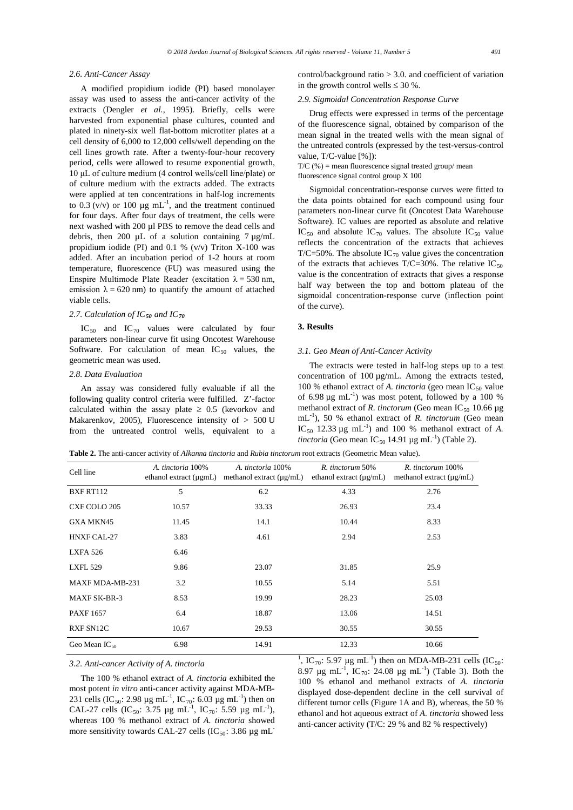#### *2.6. Anti-Cancer Assay*

A modified propidium iodide (PI) based monolayer assay was used to assess the anti-cancer activity of the extracts (Dengler *et al.,* 1995). Briefly, cells were harvested from exponential phase cultures, counted and plated in ninety-six well flat-bottom microtiter plates at a cell density of 6,000 to 12,000 cells/well depending on the cell lines growth rate. After a twenty-four-hour recovery period, cells were allowed to resume exponential growth, 10 μL of culture medium (4 control wells/cell line/plate) or of culture medium with the extracts added. The extracts were applied at ten concentrations in half-log increments to 0.3 (v/v) or 100  $\mu$ g mL<sup>-1</sup>, and the treatment continued for four days. After four days of treatment, the cells were next washed with 200 µl PBS to remove the dead cells and debris, then 200  $\mu$ L of a solution containing 7  $\mu$ g/mL propidium iodide (PI) and 0.1 % (v/v) Triton X-100 was added. After an incubation period of 1-2 hours at room temperature, fluorescence (FU) was measured using the Enspire Multimode Plate Reader (excitation  $\lambda = 530$  nm, emission  $\lambda = 620$  nm) to quantify the amount of attached viable cells.

## *2.7. Calculation of IC<sup>50</sup> and IC<sup>70</sup>*

 $IC_{50}$  and  $IC_{70}$  values were calculated by four parameters non-linear curve fit using Oncotest Warehouse Software. For calculation of mean  $IC_{50}$  values, the geometric mean was used.

#### *2.8. Data Evaluation*

An assay was considered fully evaluable if all the following quality control criteria were fulfilled. Z'-factor calculated within the assay plate  $\geq 0.5$  (kevorkov and Makarenkov, 2005), Fluorescence intensity of  $> 500$  U from the untreated control wells, equivalent to a control/background ratio > 3.0. and coefficient of variation in the growth control wells  $\leq 30$  %.

## *2.9. Sigmoidal Concentration Response Curve*

Drug effects were expressed in terms of the percentage of the fluorescence signal, obtained by comparison of the mean signal in the treated wells with the mean signal of the untreated controls (expressed by the test-versus-control value, T/C-value [%]):

 $T/C$  (%) = mean fluorescence signal treated group/ mean fluorescence signal control group X 100

Sigmoidal concentration-response curves were fitted to the data points obtained for each compound using four parameters non-linear curve fit (Oncotest Data Warehouse Software). IC values are reported as absolute and relative IC<sub>50</sub> and absolute IC<sub>70</sub> values. The absolute IC<sub>50</sub> value reflects the concentration of the extracts that achieves T/C=50%. The absolute  $IC_{70}$  value gives the concentration of the extracts that achieves  $T/C=30\%$ . The relative  $IC_{50}$ value is the concentration of extracts that gives a response half way between the top and bottom plateau of the sigmoidal concentration-response curve (inflection point of the curve).

## **3. Results**

## *3.1. Geo Mean of Anti-Cancer Activity*

The extracts were tested in half-log steps up to a test concentration of  $100 \mu g/mL$ . Among the extracts tested, 100 % ethanol extract of *A. tinctoria* (geo mean  $IC_{50}$  value of 6.98  $\mu$ g mL<sup>-1</sup>) was most potent, followed by a 100 % methanol extract of *R. tinctorum* (Geo mean IC<sub>50</sub> 10.66 µg mL-1 ), 50 % ethanol extract of *R. tinctorum* (Geo mean IC<sub>50</sub> 12.33  $\mu$ g mL<sup>-1</sup>) and 100 % methanol extract of *A*. *tinctoria* (Geo mean  $IC_{50}$  14.91  $\mu$ g mL<sup>-1</sup>) (Table 2).

**Table 2.** The anti-cancer activity of *Alkanna tinctoria* and *Rubia tinctorum* root extracts (Geometric Mean value).

| Cell line           | A. tinctoria 100%<br>ethanol extract (µgmL) | A. tinctoria 100%<br>methanol extract $(\mu g/mL)$ | R. tinctorum 50%<br>ethanol extract $(\mu g/mL)$ | R. tinctorum 100%<br>methanol extract $(\mu g/mL)$ |
|---------------------|---------------------------------------------|----------------------------------------------------|--------------------------------------------------|----------------------------------------------------|
| BXFRT112            | 5                                           | 6.2                                                | 4.33                                             | 2.76                                               |
| CXF COLO 205        | 10.57                                       | 33.33                                              | 26.93                                            | 23.4                                               |
| GXA MKN45           | 11.45                                       | 14.1                                               | 10.44                                            | 8.33                                               |
| <b>HNXF CAL-27</b>  | 3.83                                        | 4.61                                               | 2.94                                             | 2.53                                               |
| <b>LXFA 526</b>     | 6.46                                        |                                                    |                                                  |                                                    |
| <b>LXFL 529</b>     | 9.86                                        | 23.07                                              | 31.85                                            | 25.9                                               |
| MAXF MDA-MB-231     | 3.2                                         | 10.55                                              | 5.14                                             | 5.51                                               |
| <b>MAXF SK-BR-3</b> | 8.53                                        | 19.99                                              | 28.23                                            | 25.03                                              |
| <b>PAXF 1657</b>    | 6.4                                         | 18.87                                              | 13.06                                            | 14.51                                              |
| <b>RXF SN12C</b>    | 10.67                                       | 29.53                                              | 30.55                                            | 30.55                                              |
| Geo Mean IC $_{50}$ | 6.98                                        | 14.91                                              | 12.33                                            | 10.66                                              |

#### *3.2. Anti-cancer Activity of A. tinctoria*

The 100 % ethanol extract of *A. tinctoria* exhibited the most potent *in vitro* anti-cancer activity against MDA-MB-231 cells (IC<sub>50</sub>: 2.98 µg mL<sup>-1</sup>, IC<sub>70</sub>: 6.03 µg mL<sup>-1</sup>) then on CAL-27 cells (IC<sub>50</sub>: 3.75 µg mL<sup>-1</sup>, IC<sub>70</sub>: 5.59 µg mL<sup>-1</sup>), whereas 100 % methanol extract of *A. tinctoria* showed more sensitivity towards CAL-27 cells (IC $_{50}$ : 3.86 µg mL<sup>-</sup>

<sup>1</sup>, IC<sub>70</sub>: 5.97 µg mL<sup>-1</sup>) then on MDA-MB-231 cells (IC<sub>50</sub>: 8.97  $\mu$ g mL<sup>-1</sup>, IC<sub>70</sub>: 24.08  $\mu$ g mL<sup>-1</sup>) (Table 3). Both the 100 % ethanol and methanol extracts of *A. tinctoria* displayed dose-dependent decline in the cell survival of different tumor cells (Figure 1A and B), whereas, the 50 % ethanol and hot aqueous extract of *A. tinctoria* showed less anti-cancer activity (T/C: 29 % and 82 % respectively)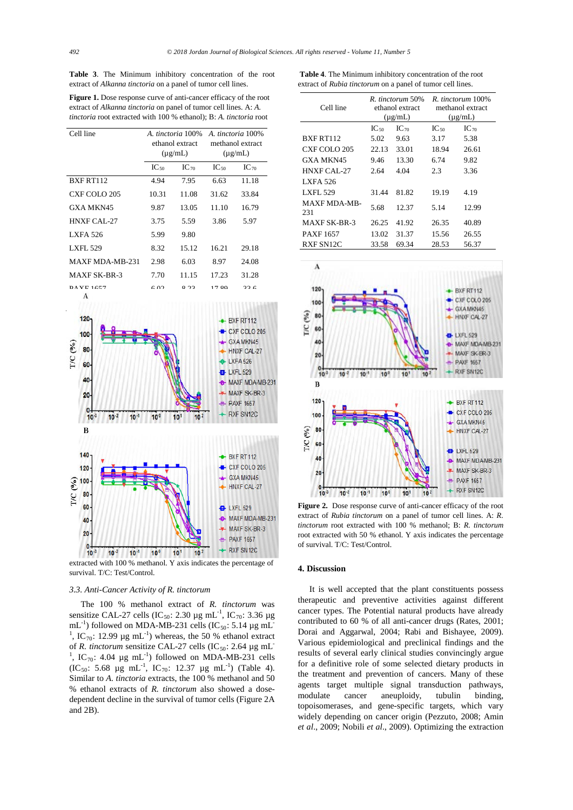|  |  | Table 3. The Minimum inhibitory concentration of the root           |  |  |
|--|--|---------------------------------------------------------------------|--|--|
|  |  | extract of <i>Alkanna tinctoria</i> on a panel of tumor cell lines. |  |  |

Figure 1. Dose response curve of anti-cancer efficacy of the root extract of *Alkanna tinctoria* on panel of tumor cell lines. A: *A. tinctoria* root extracted with 100 % ethanol); B: *A. tinctoria* root

| Cell line                | A. tinctoria 100%<br>ethanol extract<br>$(\mu g/mL)$ |           | A. tinctoria 100%<br>methanol extract<br>$(\mu g/mL)$ |           |
|--------------------------|------------------------------------------------------|-----------|-------------------------------------------------------|-----------|
|                          | $IC_{50}$                                            | $IC_{70}$ | $IC_{50}$                                             | $IC_{70}$ |
| BXF RT112                | 4.94                                                 | 7.95      | 6.63                                                  | 11.18     |
| CXF COLO 205             | 10.31                                                | 11.08     | 31.62                                                 | 33.84     |
| <b>GXA MKN45</b>         | 9.87                                                 | 13.05     | 11.10                                                 | 16.79     |
| <b>HNXF CAL-27</b>       | 3.75                                                 | 5.59      | 3.86                                                  | 5.97      |
| <b>LXFA 526</b>          | 5.99                                                 | 9.80      |                                                       |           |
| <b>LXFL 529</b>          | 8.32                                                 | 15.12     | 16.21                                                 | 29.18     |
| <b>MAXF MDA-MB-231</b>   | 2.98                                                 | 6.03      | 8.97                                                  | 24.08     |
| <b>MAXF SK-BR-3</b>      | 7.70                                                 | 11.15     | 17.23                                                 | 31.28     |
| $DA$ VE $1657$<br>$\sim$ | $\epsilon$ 00                                        | 0.22      | 17.90                                                 | 22c       |



extracted with 100 % methanol. Y axis indicates the percentage of survival. T/C: Test/Control.

#### *3.3. Anti-Cancer Activity of R. tinctorum*

The 100 % methanol extract of *R. tinctorum* was sensitize CAL-27 cells (IC<sub>50</sub>: 2.30 µg mL<sup>-1</sup>, IC<sub>70</sub>: 3.36 µg mL<sup>-1</sup>) followed on MDA-MB-231 cells (IC<sub>50</sub>: 5.14 µg mL<sup>-</sup> <sup>1</sup>, IC<sub>70</sub>: 12.99  $\mu$ g mL<sup>-1</sup>) whereas, the 50 % ethanol extract of *R. tinctorum* sensitize CAL-27 cells (IC<sub>50</sub>: 2.64 µg mL<sup>-</sup> <sup>1</sup>, IC<sub>70</sub>: 4.04 µg mL<sup>-1</sup>) followed on MDA-MB-231 cells (IC<sub>50</sub>: 5.68 µg mL<sup>-1</sup>, IC<sub>70</sub>: 12.37 µg mL<sup>-1</sup>) (Table 4). Similar to *A. tinctoria* extracts, the 100 % methanol and 50 % ethanol extracts of *R. tinctorum* also showed a dosedependent decline in the survival of tumor cells (Figure 2A and 2B).

**Table 4**. The Minimum inhibitory concentration of the root extract of *Rubia tinctorum* on a panel of tumor cell lines.

| Cell line                  | R. tinctorum 50%<br>ethanol extract<br>$(\mu$ g/mL) |           | R. tinctorum 100%<br>methanol extract<br>$(\mu g/mL)$ |           |  |
|----------------------------|-----------------------------------------------------|-----------|-------------------------------------------------------|-----------|--|
|                            | $IC_{50}$                                           | $IC_{70}$ | $IC_{50}$                                             | $IC_{70}$ |  |
| <b>BXF RT112</b>           | 5.02                                                | 9.63      | 3.17                                                  | 5.38      |  |
| CXF COLO 205               | 22.13                                               | 33.01     | 18.94                                                 | 26.61     |  |
| <b>GXA MKN45</b>           | 9.46                                                | 13.30     | 6.74                                                  | 9.82      |  |
| <b>HNXF CAL-27</b>         | 2.64                                                | 4.04      | 2.3                                                   | 3.36      |  |
| <b>LXFA 526</b>            |                                                     |           |                                                       |           |  |
| LXFL 529                   | 31.44                                               | 81.82     | 19.19                                                 | 4.19      |  |
| <b>MAXF MDA-MB-</b><br>231 | 5.68                                                | 12.37     | 5.14                                                  | 12.99     |  |
| <b>MAXF SK-BR-3</b>        | 26.25                                               | 41.92     | 26.35                                                 | 40.89     |  |
| <b>PAXF1657</b>            | 13.02                                               | 31.37     | 15.56                                                 | 26.55     |  |
| RXF SN12C                  | 33.58                                               | 69.34     | 28.53                                                 | 56.37     |  |



**Figure 2.** Dose response curve of anti-cancer efficacy of the root extract of *Rubia tinctorum* on a panel of tumor cell lines. A: *R. tinctorum* root extracted with 100 % methanol; B: *R. tinctorum* root extracted with 50 % ethanol. Y axis indicates the percentage of survival. T/C: Test/Control.

#### **4. Discussion**

It is well accepted that the plant constituents possess therapeutic and preventive activities against different cancer types. The Potential natural products have already contributed to 60 % of all anti-cancer drugs (Rates, 2001; Dorai and Aggarwal, 2004; Rabi and Bishayee, 2009). Various epidemiological and preclinical findings and the results of several early clinical studies convincingly argue for a definitive role of some selected dietary products in the treatment and prevention of cancers. Many of these agents target multiple signal transduction pathways, modulate cancer aneuploidy, tubulin binding, topoisomerases, and gene-specific targets, which vary widely depending on cancer origin (Pezzuto, 2008; Amin *et al*., 2009; Nobili *et al*., 2009). Optimizing the extraction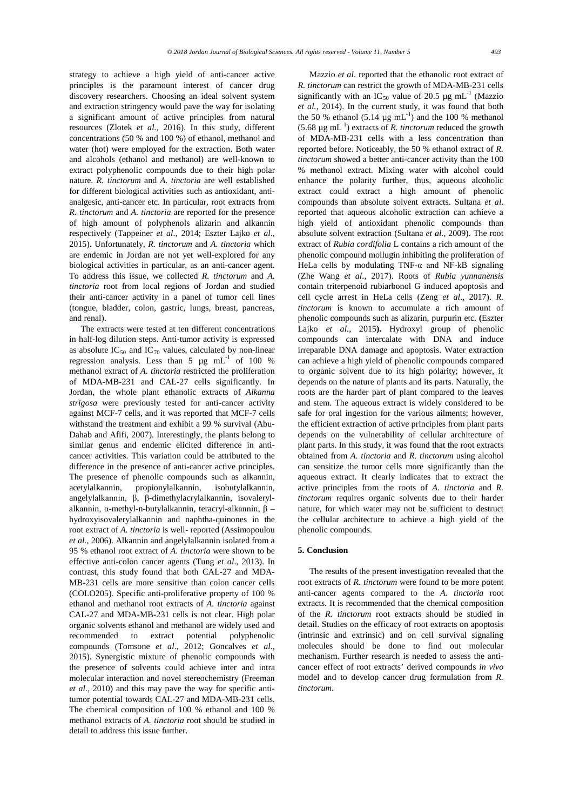strategy to achieve a high yield of anti-cancer active principles is the paramount interest of cancer drug discovery researchers. Choosing an ideal solvent system and extraction stringency would pave the way for isolating a significant amount of active principles from natural resources (Zlotek *et al.,* 2016). In this study, different concentrations (50 % and 100 %) of ethanol, methanol and water (hot) were employed for the extraction. Both water and alcohols (ethanol and methanol) are well-known to extract polyphenolic compounds due to their high polar nature. *R. tinctorum* and *A. tinctoria* are well established for different biological activities such as antioxidant, antianalgesic, anti-cancer etc. In particular, root extracts from *R. tinctorum* and *A. tinctoria* are reported for the presence of high amount of polyphenols alizarin and alkannin respectively (Tappeiner *et al*., 2014; [Eszter Lajko](https://www.ncbi.nlm.nih.gov/pubmed/?term=Lajk%26%23x000f3%3B%20E%5BAuthor%5D&cauthor=true&cauthor_uid=26690297) *et al*., 2015). Unfortunately, *R. tinctorum* and *A. tinctoria* which are endemic in Jordan are not yet well-explored for any biological activities in particular, as an anti-cancer agent. To address this issue, we collected *R. tinctorum* and *A. tinctoria* root from local regions of Jordan and studied their anti-cancer activity in a panel of tumor cell lines (tongue, bladder, colon, gastric, lungs, breast, pancreas, and renal).

The extracts were tested at ten different concentrations in half-log dilution steps. Anti-tumor activity is expressed as absolute  $IC_{50}$  and  $IC_{70}$  values, calculated by non-linear regression analysis. Less than 5  $\mu$ g mL<sup>-1</sup> of 100 % methanol extract of *A. tinctoria* restricted the proliferation of MDA-MB-231 and CAL-27 cells significantly. In Jordan, the whole plant ethanolic extracts of *Alkanna strigosa* were previously tested for anti-cancer activity against MCF-7 cells, and it was reported that MCF-7 cells withstand the treatment and exhibit a 99 % survival (Abu-Dahab and Afifi, 2007). Interestingly, the plants belong to similar genus and endemic elicited difference in anticancer activities. This variation could be attributed to the difference in the presence of anti-cancer active principles. The presence of phenolic compounds such as alkannin, acetylalkannin, propionylalkannin, isobutylalkannin, angelylalkannin, β, β-dimethylacrylalkannin, isovalerylalkannin, α-methyl-n-butylalkannin, teracryl-alkannin, β – hydroxyisovalerylalkannin and naphtha-quinones in the root extract of *A. tinctoria* is well- reported (Assimopoulou *et al.,* 2006). Alkannin and angelylalkannin isolated from a 95 % ethanol root extract of *A. tinctoria* were shown to be effective anti-colon cancer agents (Tung *et al*., 2013). In contrast, this study found that both CAL-27 and MDA-MB-231 cells are more sensitive than colon cancer cells (COLO205). Specific anti-proliferative property of 100 % ethanol and methanol root extracts of *A. tinctoria* against CAL-27 and MDA-MB-231 cells is not clear. High polar organic solvents ethanol and methanol are widely used and recommended to extract potential polyphenolic compounds (Tomsone *et al*., 2012; Goncalves *et al*., 2015). Synergistic mixture of phenolic compounds with the presence of solvents could achieve inter and intra molecular interaction and novel stereochemistry (Freeman *et al*., 2010) and this may pave the way for specific antitumor potential towards CAL-27 and MDA-MB-231 cells. The chemical composition of 100 % ethanol and 100 % methanol extracts of *A. tinctoria* root should be studied in detail to address this issue further.

Mazzio *et al*. reported that the ethanolic root extract of *R. tinctorum* can restrict the growth of MDA-MB-231 cells significantly with an IC<sub>50</sub> value of 20.5  $\mu$ g mL<sup>-1</sup> (Mazzio *et al.,* 2014). In the current study, it was found that both the 50 % ethanol  $(5.14 \mu g \text{ mL}^{-1})$  and the 100 % methanol  $(5.68 \,\mu g \text{ mL}^{-1})$  extracts of *R. tinctorum* reduced the growth of MDA-MB-231 cells with a less concentration than reported before. Noticeably, the 50 % ethanol extract of *R. tinctorum* showed a better anti-cancer activity than the 100 % methanol extract. Mixing water with alcohol could enhance the polarity further, thus, aqueous alcoholic extract could extract a high amount of phenolic compounds than absolute solvent extracts. Sultana *et al*. reported that aqueous alcoholic extraction can achieve a high yield of antioxidant phenolic compounds than absolute solvent extraction (Sultana *et al.,* 2009). The root extract of *Rubia cordifolia* L contains a rich amount of the phenolic compound mollugin inhibiting the proliferation of HeLa cells by modulating TNF-α and NF-kB signaling (Zhe Wang *et al*., 2017). Roots of *Rubia yunnanensis* contain triterpenoid rubiarbonol G induced apoptosis and cell cycle arrest in HeLa cells (Zeng *et al*., 2017). *R. tinctorum* is known to accumulate a rich amount of phenolic compounds such as alizarin, purpurin etc. **(**[Eszter](https://www.ncbi.nlm.nih.gov/pubmed/?term=Lajk%26%23x000f3%3B%20E%5BAuthor%5D&cauthor=true&cauthor_uid=26690297)  [Lajko](https://www.ncbi.nlm.nih.gov/pubmed/?term=Lajk%26%23x000f3%3B%20E%5BAuthor%5D&cauthor=true&cauthor_uid=26690297) *et al*., 2015**).** Hydroxyl group of phenolic compounds can intercalate with DNA and induce irreparable DNA damage and apoptosis. Water extraction can achieve a high yield of phenolic compounds compared to organic solvent due to its high polarity; however, it depends on the nature of plants and its parts. Naturally, the roots are the harder part of plant compared to the leaves and stem. The aqueous extract is widely considered to be safe for oral ingestion for the various ailments; however, the efficient extraction of active principles from plant parts depends on the vulnerability of cellular architecture of plant parts. In this study, it was found that the root extracts obtained from *A. tinctoria* and *R. tinctorum* using alcohol can sensitize the tumor cells more significantly than the aqueous extract. It clearly indicates that to extract the active principles from the roots of *A. tinctoria* and *R. tinctorum* requires organic solvents due to their harder nature, for which water may not be sufficient to destruct the cellular architecture to achieve a high yield of the phenolic compounds.

#### **5. Conclusion**

The results of the present investigation revealed that the root extracts of *R. tinctorum* were found to be more potent anti-cancer agents compared to the *A. tinctoria* root extracts. It is recommended that the chemical composition of the *R. tinctorum* root extracts should be studied in detail. Studies on the efficacy of root extracts on apoptosis (intrinsic and extrinsic) and on cell survival signaling molecules should be done to find out molecular mechanism. Further research is needed to assess the anticancer effect of root extracts' derived compounds *in vivo* model and to develop cancer drug formulation from *R. tinctorum*.